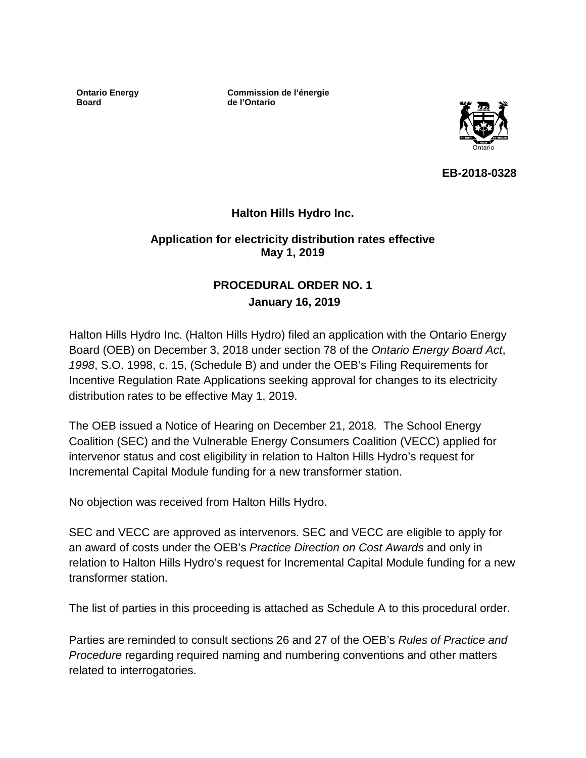**Ontario Energy Board**

**Commission de l'énergie de l'Ontario**



**EB-2018-0328**

## **Halton Hills Hydro Inc.**

#### **Application for electricity distribution rates effective May 1, 2019**

## **PROCEDURAL ORDER NO. 1 January 16, 2019**

Halton Hills Hydro Inc. (Halton Hills Hydro) filed an application with the Ontario Energy Board (OEB) on December 3, 2018 under section 78 of the *Ontario Energy Board Act*, *1998*, S.O. 1998, c. 15, (Schedule B) and under the OEB's Filing Requirements for Incentive Regulation Rate Applications seeking approval for changes to its electricity distribution rates to be effective May 1, 2019.

The OEB issued a Notice of Hearing on December 21, 2018*.* The School Energy Coalition (SEC) and the Vulnerable Energy Consumers Coalition (VECC) applied for intervenor status and cost eligibility in relation to Halton Hills Hydro's request for Incremental Capital Module funding for a new transformer station.

No objection was received from Halton Hills Hydro.

SEC and VECC are approved as intervenors. SEC and VECC are eligible to apply for an award of costs under the OEB's *Practice Direction on Cost Awards* and only in relation to Halton Hills Hydro's request for Incremental Capital Module funding for a new transformer station.

The list of parties in this proceeding is attached as Schedule A to this procedural order.

Parties are reminded to consult sections 26 and 27 of the OEB's *Rules of Practice and Procedure* regarding required naming and numbering conventions and other matters related to interrogatories.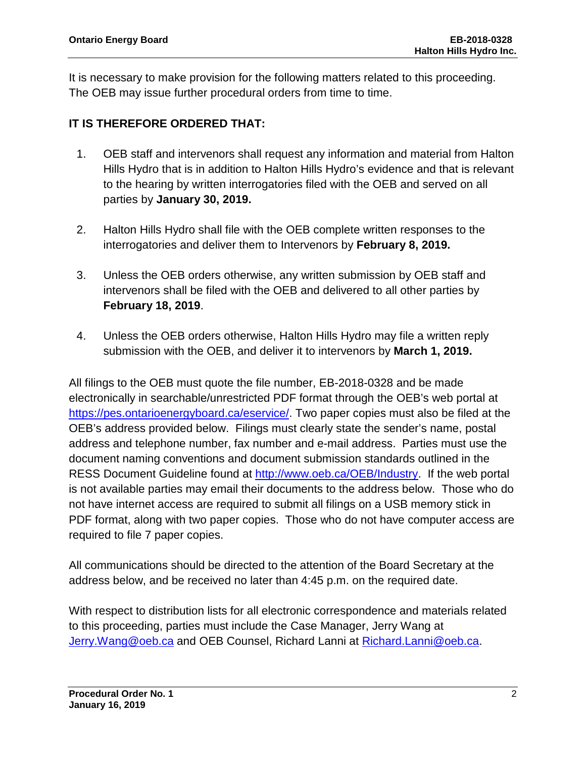It is necessary to make provision for the following matters related to this proceeding. The OEB may issue further procedural orders from time to time.

## **IT IS THEREFORE ORDERED THAT:**

- 1. OEB staff and intervenors shall request any information and material from Halton Hills Hydro that is in addition to Halton Hills Hydro's evidence and that is relevant to the hearing by written interrogatories filed with the OEB and served on all parties by **January 30, 2019.**
- 2. Halton Hills Hydro shall file with the OEB complete written responses to the interrogatories and deliver them to Intervenors by **February 8, 2019.**
- 3. Unless the OEB orders otherwise, any written submission by OEB staff and intervenors shall be filed with the OEB and delivered to all other parties by **February 18, 2019**.
- 4. Unless the OEB orders otherwise, Halton Hills Hydro may file a written reply submission with the OEB, and deliver it to intervenors by **March 1, 2019.**

All filings to the OEB must quote the file number, EB-2018-0328 and be made electronically in searchable/unrestricted PDF format through the OEB's web portal at [https://pes.ontarioenergyboard.ca/eservice/.](https://pes.ontarioenergyboard.ca/eservice/) Two paper copies must also be filed at the OEB's address provided below. Filings must clearly state the sender's name, postal address and telephone number, fax number and e-mail address. Parties must use the document naming conventions and document submission standards outlined in the RESS Document Guideline found at [http://www.oeb.ca/OEB/Industry.](http://www.oeb.ca/OEB/Industry) If the web portal is not available parties may email their documents to the address below. Those who do not have internet access are required to submit all filings on a USB memory stick in PDF format, along with two paper copies. Those who do not have computer access are required to file 7 paper copies.

All communications should be directed to the attention of the Board Secretary at the address below, and be received no later than 4:45 p.m. on the required date.

With respect to distribution lists for all electronic correspondence and materials related to this proceeding, parties must include the Case Manager, Jerry Wang at Jerry.Wang@oeb.ca and OEB Counsel, Richard Lanni at [Richard.Lanni@oeb.ca.](mailto:name@oeb.ca)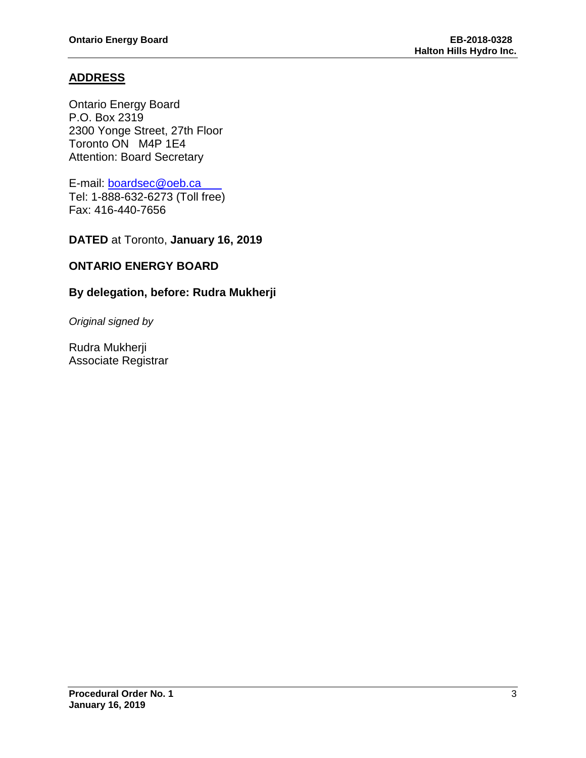## **ADDRESS**

Ontario Energy Board P.O. Box 2319 2300 Yonge Street, 27th Floor Toronto ON M4P 1E4 Attention: Board Secretary

E-mail: [boardsec@oeb.ca](mailto:boardsec@oeb.ca) Tel: 1-888-632-6273 (Toll free) Fax: 416-440-7656

**DATED** at Toronto, **January 16, 2019**

### **ONTARIO ENERGY BOARD**

#### **By delegation, before: Rudra Mukherji**

*Original signed by*

Rudra Mukherji Associate Registrar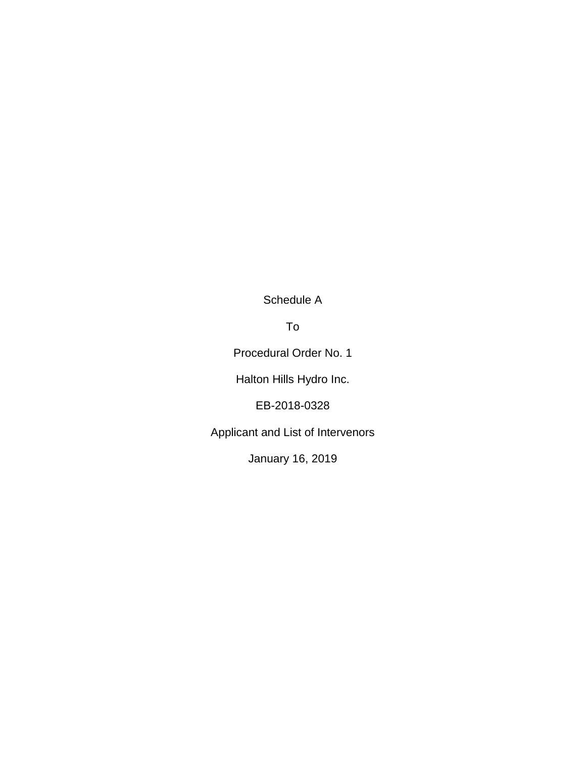Schedule A

To

Procedural Order No. 1

Halton Hills Hydro Inc.

EB-2018-0328

Applicant and List of Intervenors

January 16, 2019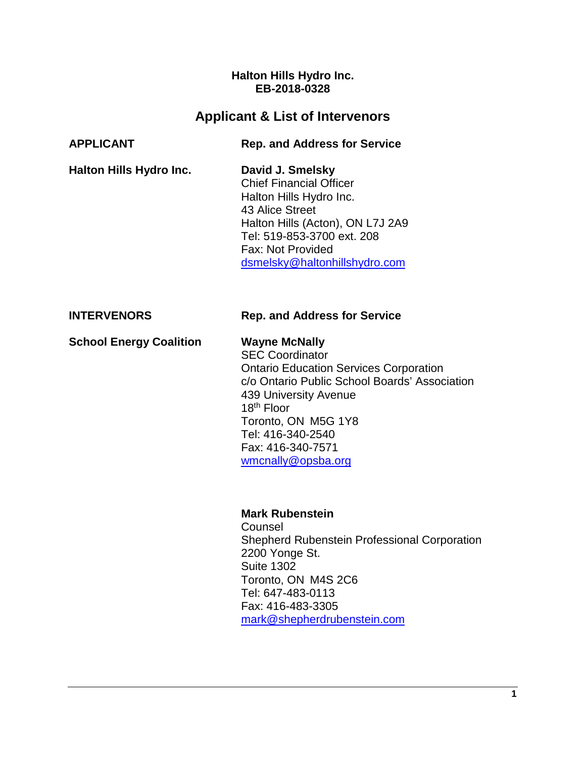#### **Halton Hills Hydro Inc. EB-2018-0328**

# **Applicant & List of Intervenors**

| <b>APPLICANT</b>               | <b>Rep. and Address for Service</b>                                                                                                                                                                                                                                                        |
|--------------------------------|--------------------------------------------------------------------------------------------------------------------------------------------------------------------------------------------------------------------------------------------------------------------------------------------|
| Halton Hills Hydro Inc.        | David J. Smelsky<br><b>Chief Financial Officer</b><br>Halton Hills Hydro Inc.<br>43 Alice Street<br>Halton Hills (Acton), ON L7J 2A9<br>Tel: 519-853-3700 ext. 208<br>Fax: Not Provided<br>dsmelsky@haltonhillshydro.com                                                                   |
| <b>INTERVENORS</b>             | <b>Rep. and Address for Service</b>                                                                                                                                                                                                                                                        |
| <b>School Energy Coalition</b> | <b>Wayne McNally</b><br><b>SEC Coordinator</b><br><b>Ontario Education Services Corporation</b><br>c/o Ontario Public School Boards' Association<br>439 University Avenue<br>18 <sup>th</sup> Floor<br>Toronto, ON M5G 1Y8<br>Tel: 416-340-2540<br>Fax: 416-340-7571<br>wmcnally@opsba.org |
|                                |                                                                                                                                                                                                                                                                                            |

**Mark Rubenstein**

Counsel Shepherd Rubenstein Professional Corporation 2200 Yonge St. Suite 1302 Toronto, ON M4S 2C6 Tel: 647-483-0113 Fax: 416-483-3305 [mark@shepherdrubenstein.com](mailto:mark@shepherdrubenstein.com)